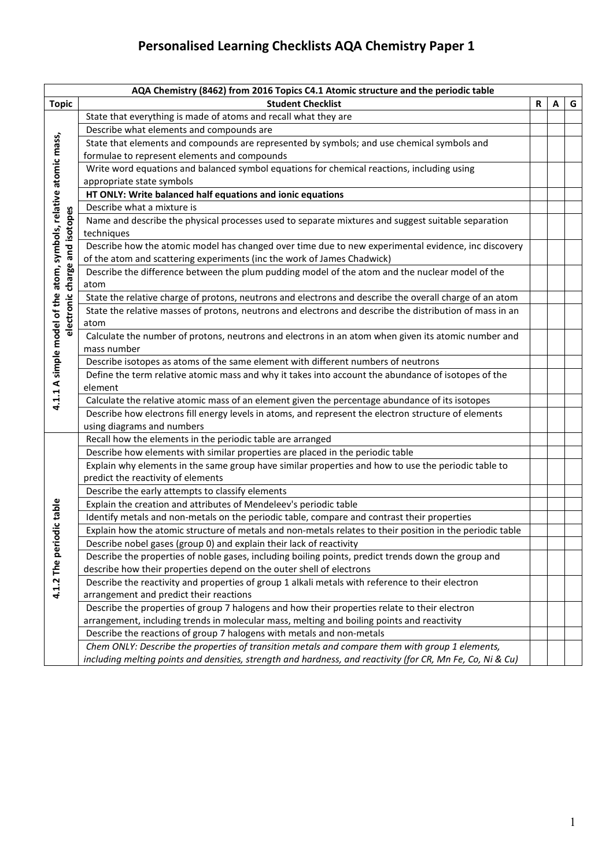| AQA Chemistry (8462) from 2016 Topics C4.1 Atomic structure and the periodic table |                                                                                                                                           |   |   |   |
|------------------------------------------------------------------------------------|-------------------------------------------------------------------------------------------------------------------------------------------|---|---|---|
| <b>Topic</b>                                                                       | <b>Student Checklist</b>                                                                                                                  | R | A | G |
| 4.1.1 A simple model of the atom, symbols, relative atomic mass,                   | State that everything is made of atoms and recall what they are                                                                           |   |   |   |
|                                                                                    | Describe what elements and compounds are                                                                                                  |   |   |   |
|                                                                                    | State that elements and compounds are represented by symbols; and use chemical symbols and                                                |   |   |   |
|                                                                                    | formulae to represent elements and compounds                                                                                              |   |   |   |
|                                                                                    | Write word equations and balanced symbol equations for chemical reactions, including using                                                |   |   |   |
|                                                                                    | appropriate state symbols                                                                                                                 |   |   |   |
|                                                                                    | HT ONLY: Write balanced half equations and ionic equations                                                                                |   |   |   |
|                                                                                    | Describe what a mixture is                                                                                                                |   |   |   |
|                                                                                    | Name and describe the physical processes used to separate mixtures and suggest suitable separation                                        |   |   |   |
|                                                                                    | techniques                                                                                                                                |   |   |   |
|                                                                                    | Describe how the atomic model has changed over time due to new experimental evidence, inc discovery                                       |   |   |   |
|                                                                                    | of the atom and scattering experiments (inc the work of James Chadwick)                                                                   |   |   |   |
|                                                                                    | Describe the difference between the plum pudding model of the atom and the nuclear model of the                                           |   |   |   |
| electronic charge and isotopes                                                     | atom                                                                                                                                      |   |   |   |
|                                                                                    | State the relative charge of protons, neutrons and electrons and describe the overall charge of an atom                                   |   |   |   |
|                                                                                    | State the relative masses of protons, neutrons and electrons and describe the distribution of mass in an                                  |   |   |   |
|                                                                                    | atom                                                                                                                                      |   |   |   |
|                                                                                    | Calculate the number of protons, neutrons and electrons in an atom when given its atomic number and                                       |   |   |   |
|                                                                                    | mass number                                                                                                                               |   |   |   |
|                                                                                    | Describe isotopes as atoms of the same element with different numbers of neutrons                                                         |   |   |   |
|                                                                                    | Define the term relative atomic mass and why it takes into account the abundance of isotopes of the                                       |   |   |   |
|                                                                                    | element                                                                                                                                   |   |   |   |
|                                                                                    | Calculate the relative atomic mass of an element given the percentage abundance of its isotopes                                           |   |   |   |
|                                                                                    | Describe how electrons fill energy levels in atoms, and represent the electron structure of elements                                      |   |   |   |
|                                                                                    | using diagrams and numbers                                                                                                                |   |   |   |
|                                                                                    | Recall how the elements in the periodic table are arranged                                                                                |   |   |   |
|                                                                                    | Describe how elements with similar properties are placed in the periodic table                                                            |   |   |   |
|                                                                                    | Explain why elements in the same group have similar properties and how to use the periodic table to<br>predict the reactivity of elements |   |   |   |
|                                                                                    | Describe the early attempts to classify elements                                                                                          |   |   |   |
|                                                                                    | Explain the creation and attributes of Mendeleev's periodic table                                                                         |   |   |   |
| iodic table                                                                        | Identify metals and non-metals on the periodic table, compare and contrast their properties                                               |   |   |   |
|                                                                                    | Explain how the atomic structure of metals and non-metals relates to their position in the periodic table                                 |   |   |   |
|                                                                                    | Describe nobel gases (group 0) and explain their lack of reactivity                                                                       |   |   |   |
|                                                                                    | Describe the properties of noble gases, including boiling points, predict trends down the group and                                       |   |   |   |
|                                                                                    | describe how their properties depend on the outer shell of electrons                                                                      |   |   |   |
|                                                                                    | Describe the reactivity and properties of group 1 alkali metals with reference to their electron                                          |   |   |   |
| 4.1.2 The per                                                                      | arrangement and predict their reactions                                                                                                   |   |   |   |
|                                                                                    | Describe the properties of group 7 halogens and how their properties relate to their electron                                             |   |   |   |
|                                                                                    | arrangement, including trends in molecular mass, melting and boiling points and reactivity                                                |   |   |   |
|                                                                                    | Describe the reactions of group 7 halogens with metals and non-metals                                                                     |   |   |   |
|                                                                                    | Chem ONLY: Describe the properties of transition metals and compare them with group 1 elements,                                           |   |   |   |
|                                                                                    | including melting points and densities, strength and hardness, and reactivity (for CR, Mn Fe, Co, Ni & Cu)                                |   |   |   |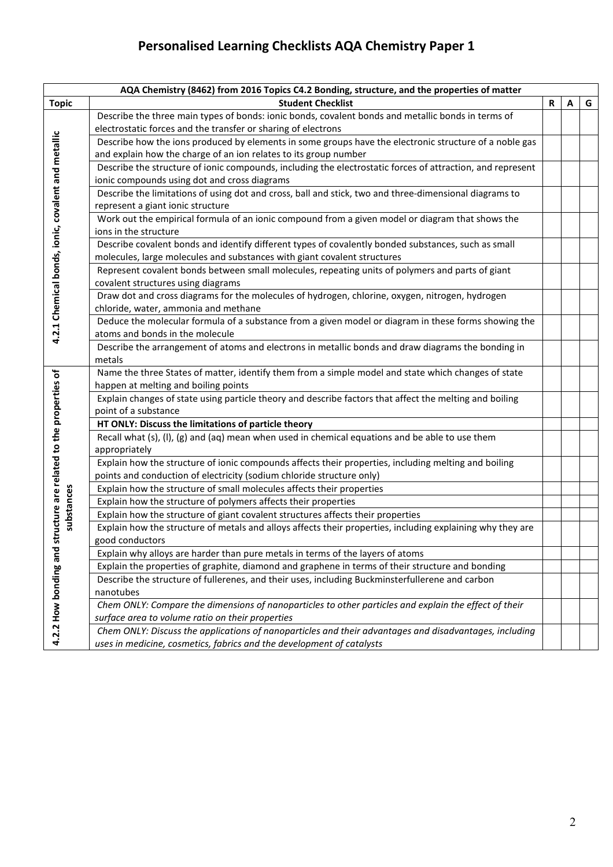|                                                    | AQA Chemistry (8462) from 2016 Topics C4.2 Bonding, structure, and the properties of matter                |   |   |   |
|----------------------------------------------------|------------------------------------------------------------------------------------------------------------|---|---|---|
| <b>Topic</b>                                       | <b>Student Checklist</b>                                                                                   | R | A | G |
|                                                    | Describe the three main types of bonds: ionic bonds, covalent bonds and metallic bonds in terms of         |   |   |   |
|                                                    | electrostatic forces and the transfer or sharing of electrons                                              |   |   |   |
|                                                    | Describe how the ions produced by elements in some groups have the electronic structure of a noble gas     |   |   |   |
|                                                    | and explain how the charge of an ion relates to its group number                                           |   |   |   |
|                                                    | Describe the structure of ionic compounds, including the electrostatic forces of attraction, and represent |   |   |   |
|                                                    | ionic compounds using dot and cross diagrams                                                               |   |   |   |
|                                                    | Describe the limitations of using dot and cross, ball and stick, two and three-dimensional diagrams to     |   |   |   |
|                                                    | represent a giant ionic structure                                                                          |   |   |   |
|                                                    | Work out the empirical formula of an ionic compound from a given model or diagram that shows the           |   |   |   |
| 4.2.1 Chemical bonds, ionic, covalent and metallic | ions in the structure                                                                                      |   |   |   |
|                                                    | Describe covalent bonds and identify different types of covalently bonded substances, such as small        |   |   |   |
|                                                    | molecules, large molecules and substances with giant covalent structures                                   |   |   |   |
|                                                    | Represent covalent bonds between small molecules, repeating units of polymers and parts of giant           |   |   |   |
|                                                    | covalent structures using diagrams                                                                         |   |   |   |
|                                                    | Draw dot and cross diagrams for the molecules of hydrogen, chlorine, oxygen, nitrogen, hydrogen            |   |   |   |
|                                                    | chloride, water, ammonia and methane                                                                       |   |   |   |
|                                                    | Deduce the molecular formula of a substance from a given model or diagram in these forms showing the       |   |   |   |
|                                                    | atoms and bonds in the molecule                                                                            |   |   |   |
|                                                    | Describe the arrangement of atoms and electrons in metallic bonds and draw diagrams the bonding in         |   |   |   |
|                                                    | metals                                                                                                     |   |   |   |
| structure are related to the properties of         | Name the three States of matter, identify them from a simple model and state which changes of state        |   |   |   |
|                                                    | happen at melting and boiling points                                                                       |   |   |   |
|                                                    | Explain changes of state using particle theory and describe factors that affect the melting and boiling    |   |   |   |
|                                                    | point of a substance                                                                                       |   |   |   |
|                                                    | HT ONLY: Discuss the limitations of particle theory                                                        |   |   |   |
|                                                    | Recall what (s), (l), (g) and (aq) mean when used in chemical equations and be able to use them            |   |   |   |
|                                                    | appropriately                                                                                              |   |   |   |
|                                                    | Explain how the structure of ionic compounds affects their properties, including melting and boiling       |   |   |   |
|                                                    | points and conduction of electricity (sodium chloride structure only)                                      |   |   |   |
| substances                                         | Explain how the structure of small molecules affects their properties                                      |   |   |   |
|                                                    | Explain how the structure of polymers affects their properties                                             |   |   |   |
|                                                    | Explain how the structure of giant covalent structures affects their properties                            |   |   |   |
|                                                    | Explain how the structure of metals and alloys affects their properties, including explaining why they are |   |   |   |
|                                                    | good conductors                                                                                            |   |   |   |
|                                                    | Explain why alloys are harder than pure metals in terms of the layers of atoms                             |   |   |   |
|                                                    | Explain the properties of graphite, diamond and graphene in terms of their structure and bonding           |   |   |   |
|                                                    | Describe the structure of fullerenes, and their uses, including Buckminsterfullerene and carbon            |   |   |   |
|                                                    | nanotubes                                                                                                  |   |   |   |
|                                                    | Chem ONLY: Compare the dimensions of nanoparticles to other particles and explain the effect of their      |   |   |   |
| 4.2.2 How bonding and                              | surface area to volume ratio on their properties                                                           |   |   |   |
|                                                    | Chem ONLY: Discuss the applications of nanoparticles and their advantages and disadvantages, including     |   |   |   |
|                                                    | uses in medicine, cosmetics, fabrics and the development of catalysts                                      |   |   |   |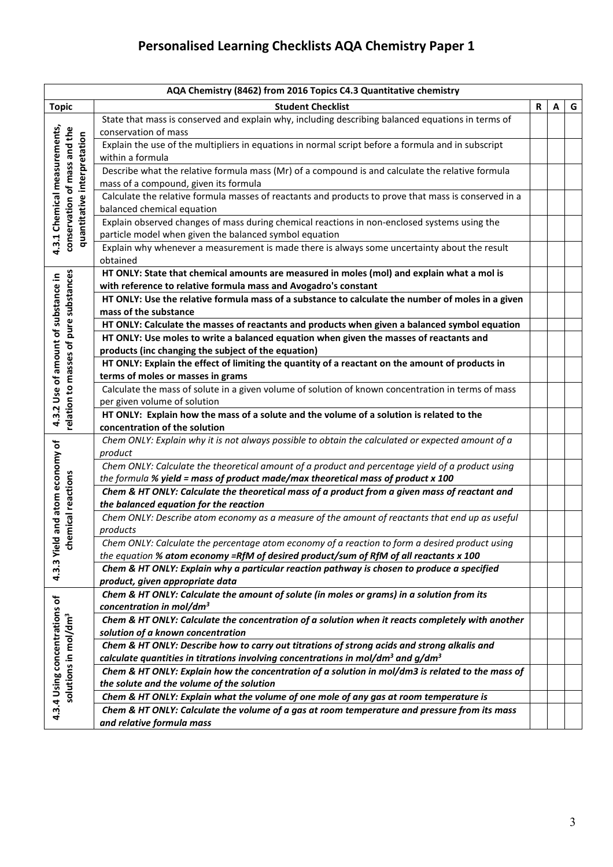| AQA Chemistry (8462) from 2016 Topics C4.3 Quantitative chemistry |                                                                                                                                  |   |   |   |  |
|-------------------------------------------------------------------|----------------------------------------------------------------------------------------------------------------------------------|---|---|---|--|
| <b>Topic</b>                                                      | <b>Student Checklist</b>                                                                                                         | R | Α | G |  |
|                                                                   | State that mass is conserved and explain why, including describing balanced equations in terms of                                |   |   |   |  |
| 4.3.1 Chemical measurements,                                      | conservation of mass                                                                                                             |   |   |   |  |
|                                                                   | Explain the use of the multipliers in equations in normal script before a formula and in subscript                               |   |   |   |  |
|                                                                   | within a formula                                                                                                                 |   |   |   |  |
| conservation of mass and the<br>quantitative interpretation       | Describe what the relative formula mass (Mr) of a compound is and calculate the relative formula                                 |   |   |   |  |
|                                                                   | mass of a compound, given its formula                                                                                            |   |   |   |  |
|                                                                   | Calculate the relative formula masses of reactants and products to prove that mass is conserved in a                             |   |   |   |  |
|                                                                   | balanced chemical equation                                                                                                       |   |   |   |  |
|                                                                   | Explain observed changes of mass during chemical reactions in non-enclosed systems using the                                     |   |   |   |  |
|                                                                   | particle model when given the balanced symbol equation                                                                           |   |   |   |  |
|                                                                   | Explain why whenever a measurement is made there is always some uncertainty about the result                                     |   |   |   |  |
|                                                                   | obtained                                                                                                                         |   |   |   |  |
|                                                                   | HT ONLY: State that chemical amounts are measured in moles (mol) and explain what a mol is                                       |   |   |   |  |
|                                                                   | with reference to relative formula mass and Avogadro's constant                                                                  |   |   |   |  |
| pure substances<br>4.3.2 Use of amount of substance in            | HT ONLY: Use the relative formula mass of a substance to calculate the number of moles in a given                                |   |   |   |  |
|                                                                   | mass of the substance                                                                                                            |   |   |   |  |
|                                                                   | HT ONLY: Calculate the masses of reactants and products when given a balanced symbol equation                                    |   |   |   |  |
|                                                                   | HT ONLY: Use moles to write a balanced equation when given the masses of reactants and                                           |   |   |   |  |
|                                                                   | products (inc changing the subject of the equation)                                                                              |   |   |   |  |
|                                                                   | HT ONLY: Explain the effect of limiting the quantity of a reactant on the amount of products in                                  |   |   |   |  |
|                                                                   | terms of moles or masses in grams                                                                                                |   |   |   |  |
|                                                                   | Calculate the mass of solute in a given volume of solution of known concentration in terms of mass                               |   |   |   |  |
|                                                                   | per given volume of solution                                                                                                     |   |   |   |  |
| relation to masses of                                             | HT ONLY: Explain how the mass of a solute and the volume of a solution is related to the                                         |   |   |   |  |
|                                                                   | concentration of the solution                                                                                                    |   |   |   |  |
|                                                                   | Chem ONLY: Explain why it is not always possible to obtain the calculated or expected amount of a                                |   |   |   |  |
|                                                                   | product                                                                                                                          |   |   |   |  |
|                                                                   | Chem ONLY: Calculate the theoretical amount of a product and percentage yield of a product using                                 |   |   |   |  |
|                                                                   | the formula % yield = mass of product made/max theoretical mass of product x 100                                                 |   |   |   |  |
| and atom economy of<br>emical reactions                           | Chem & HT ONLY: Calculate the theoretical mass of a product from a given mass of reactant and                                    |   |   |   |  |
|                                                                   | the balanced equation for the reaction                                                                                           |   |   |   |  |
|                                                                   | Chem ONLY: Describe atom economy as a measure of the amount of reactants that end up as useful                                   |   |   |   |  |
| ъ                                                                 | products                                                                                                                         |   |   |   |  |
| ㅎ                                                                 | Chem ONLY: Calculate the percentage atom economy of a reaction to form a desired product using                                   |   |   |   |  |
|                                                                   | the equation % atom economy =RfM of desired product/sum of RfM of all reactants x 100                                            |   |   |   |  |
| 4.3.3 Yiel                                                        | Chem & HT ONLY: Explain why a particular reaction pathway is chosen to produce a specified                                       |   |   |   |  |
|                                                                   | product, given appropriate data                                                                                                  |   |   |   |  |
|                                                                   | Chem & HT ONLY: Calculate the amount of solute (in moles or grams) in a solution from its                                        |   |   |   |  |
|                                                                   | concentration in mol/dm <sup>3</sup>                                                                                             |   |   |   |  |
|                                                                   | Chem & HT ONLY: Calculate the concentration of a solution when it reacts completely with another                                 |   |   |   |  |
|                                                                   | solution of a known concentration<br>Chem & HT ONLY: Describe how to carry out titrations of strong acids and strong alkalis and |   |   |   |  |
|                                                                   | calculate quantities in titrations involving concentrations in mol/dm <sup>3</sup> and $g/dm^3$                                  |   |   |   |  |
|                                                                   | Chem & HT ONLY: Explain how the concentration of a solution in mol/dm3 is related to the mass of                                 |   |   |   |  |
| 4.3.4 Using concentrations of<br>solutions in mol/dm <sup>3</sup> | the solute and the volume of the solution                                                                                        |   |   |   |  |
|                                                                   | Chem & HT ONLY: Explain what the volume of one mole of any gas at room temperature is                                            |   |   |   |  |
|                                                                   | Chem & HT ONLY: Calculate the volume of a gas at room temperature and pressure from its mass                                     |   |   |   |  |
|                                                                   | and relative formula mass                                                                                                        |   |   |   |  |
|                                                                   |                                                                                                                                  |   |   |   |  |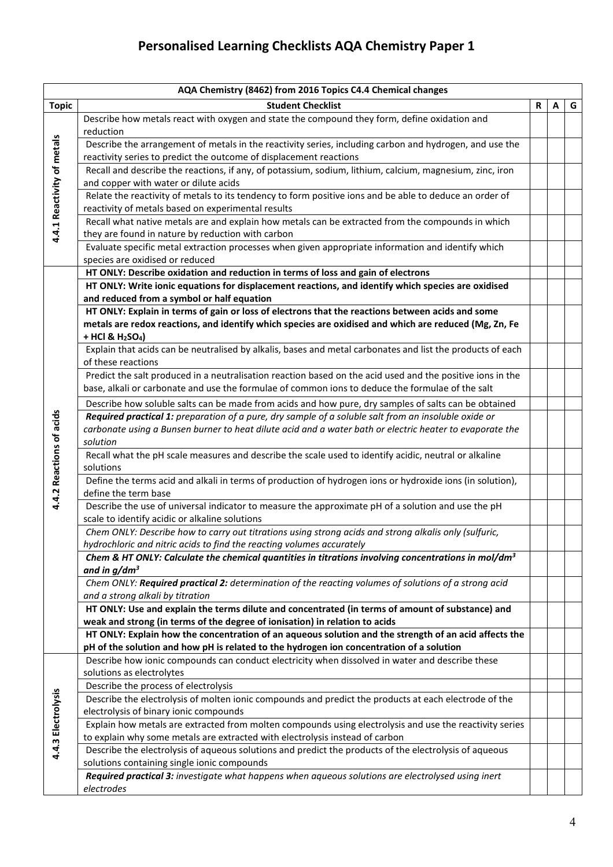| AQA Chemistry (8462) from 2016 Topics C4.4 Chemical changes |                                                                                                                                                                                 |   |   |   |
|-------------------------------------------------------------|---------------------------------------------------------------------------------------------------------------------------------------------------------------------------------|---|---|---|
| <b>Topic</b>                                                | <b>Student Checklist</b>                                                                                                                                                        | R | A | G |
| 4.4.1 Reactivity of metals                                  | Describe how metals react with oxygen and state the compound they form, define oxidation and<br>reduction                                                                       |   |   |   |
|                                                             | Describe the arrangement of metals in the reactivity series, including carbon and hydrogen, and use the<br>reactivity series to predict the outcome of displacement reactions   |   |   |   |
|                                                             | Recall and describe the reactions, if any, of potassium, sodium, lithium, calcium, magnesium, zinc, iron<br>and copper with water or dilute acids                               |   |   |   |
|                                                             | Relate the reactivity of metals to its tendency to form positive ions and be able to deduce an order of<br>reactivity of metals based on experimental results                   |   |   |   |
|                                                             | Recall what native metals are and explain how metals can be extracted from the compounds in which<br>they are found in nature by reduction with carbon                          |   |   |   |
|                                                             | Evaluate specific metal extraction processes when given appropriate information and identify which<br>species are oxidised or reduced                                           |   |   |   |
|                                                             | HT ONLY: Describe oxidation and reduction in terms of loss and gain of electrons                                                                                                |   |   |   |
|                                                             | HT ONLY: Write ionic equations for displacement reactions, and identify which species are oxidised                                                                              |   |   |   |
|                                                             | and reduced from a symbol or half equation                                                                                                                                      |   |   |   |
|                                                             | HT ONLY: Explain in terms of gain or loss of electrons that the reactions between acids and some                                                                                |   |   |   |
|                                                             | metals are redox reactions, and identify which species are oxidised and which are reduced (Mg, Zn, Fe<br>+ HCl & H <sub>2</sub> SO <sub>4</sub> )                               |   |   |   |
|                                                             | Explain that acids can be neutralised by alkalis, bases and metal carbonates and list the products of each<br>of these reactions                                                |   |   |   |
|                                                             | Predict the salt produced in a neutralisation reaction based on the acid used and the positive ions in the                                                                      |   |   |   |
|                                                             | base, alkali or carbonate and use the formulae of common ions to deduce the formulae of the salt                                                                                |   |   |   |
|                                                             | Describe how soluble salts can be made from acids and how pure, dry samples of salts can be obtained                                                                            |   |   |   |
|                                                             | Required practical 1: preparation of a pure, dry sample of a soluble salt from an insoluble oxide or                                                                            |   |   |   |
|                                                             | carbonate using a Bunsen burner to heat dilute acid and a water bath or electric heater to evaporate the                                                                        |   |   |   |
|                                                             | solution                                                                                                                                                                        |   |   |   |
|                                                             | Recall what the pH scale measures and describe the scale used to identify acidic, neutral or alkaline<br>solutions                                                              |   |   |   |
| 4.4.2 Reactions of acids                                    | Define the terms acid and alkali in terms of production of hydrogen ions or hydroxide ions (in solution),<br>define the term base                                               |   |   |   |
|                                                             | Describe the use of universal indicator to measure the approximate pH of a solution and use the pH<br>scale to identify acidic or alkaline solutions                            |   |   |   |
|                                                             | Chem ONLY: Describe how to carry out titrations using strong acids and strong alkalis only (sulfuric,<br>hydrochloric and nitric acids to find the reacting volumes accurately  |   |   |   |
|                                                             | Chem & HT ONLY: Calculate the chemical quantities in titrations involving concentrations in mol/dm <sup>3</sup><br>and in $g/dm^3$                                              |   |   |   |
|                                                             | Chem ONLY: Required practical 2: determination of the reacting volumes of solutions of a strong acid<br>and a strong alkali by titration                                        |   |   |   |
|                                                             | HT ONLY: Use and explain the terms dilute and concentrated (in terms of amount of substance) and<br>weak and strong (in terms of the degree of ionisation) in relation to acids |   |   |   |
|                                                             | HT ONLY: Explain how the concentration of an aqueous solution and the strength of an acid affects the                                                                           |   |   |   |
|                                                             | pH of the solution and how pH is related to the hydrogen ion concentration of a solution                                                                                        |   |   |   |
|                                                             | Describe how ionic compounds can conduct electricity when dissolved in water and describe these                                                                                 |   |   |   |
|                                                             | solutions as electrolytes                                                                                                                                                       |   |   |   |
|                                                             | Describe the process of electrolysis                                                                                                                                            |   |   |   |
|                                                             | Describe the electrolysis of molten ionic compounds and predict the products at each electrode of the                                                                           |   |   |   |
|                                                             | electrolysis of binary ionic compounds                                                                                                                                          |   |   |   |
| 4.4.3 Electrolysis                                          | Explain how metals are extracted from molten compounds using electrolysis and use the reactivity series                                                                         |   |   |   |
|                                                             | to explain why some metals are extracted with electrolysis instead of carbon                                                                                                    |   |   |   |
|                                                             | Describe the electrolysis of aqueous solutions and predict the products of the electrolysis of aqueous                                                                          |   |   |   |
|                                                             | solutions containing single ionic compounds<br>Required practical 3: investigate what happens when aqueous solutions are electrolysed using inert                               |   |   |   |
|                                                             | electrodes                                                                                                                                                                      |   |   |   |